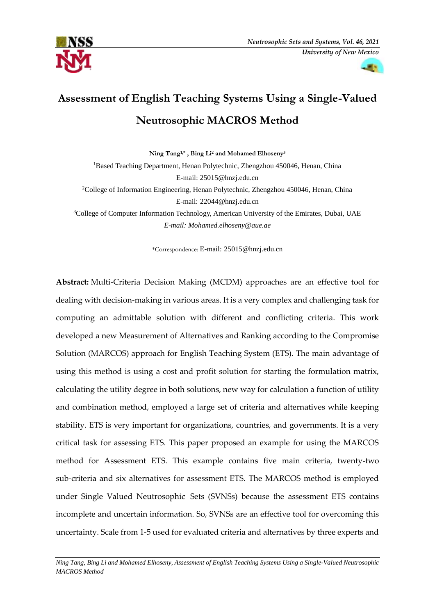



# **Assessment of English Teaching Systems Using a Single-Valued Neutrosophic MACROS Method**

**Ning Tang1,\* , Bing Li<sup>2</sup> and Mohamed Elhoseny<sup>3</sup>** <sup>1</sup>Based Teaching Department, Henan Polytechnic, Zhengzhou 450046, Henan, China E-mail: 25015@hnzj.edu.cn <sup>2</sup>College of Information Engineering, Henan Polytechnic, Zhengzhou 450046, Henan, China E-mail: [22044@hnzj.edu.cn](mailto:22044@hnzj.edu.cn) <sup>3</sup>College of Computer Information Technology, American University of the Emirates, Dubai, UAE *E-mail: Mohamed.elhoseny@aue.ae*

\*Correspondence: E-mail: 25015@hnzj.edu.cn

**Abstract:** Multi-Criteria Decision Making (MCDM) approaches are an effective tool for dealing with decision-making in various areas. It is a very complex and challenging task for computing an admittable solution with different and conflicting criteria. This work developed a new Measurement of Alternatives and Ranking according to the Compromise Solution (MARCOS) approach for English Teaching System (ETS). The main advantage of using this method is using a cost and profit solution for starting the formulation matrix, calculating the utility degree in both solutions, new way for calculation a function of utility and combination method, employed a large set of criteria and alternatives while keeping stability. ETS is very important for organizations, countries, and governments. It is a very critical task for assessing ETS. This paper proposed an example for using the MARCOS method for Assessment ETS. This example contains five main criteria, twenty-two sub-criteria and six alternatives for assessment ETS. The MARCOS method is employed under Single Valued Neutrosophic Sets (SVNSs) because the assessment ETS contains incomplete and uncertain information. So, SVNSs are an effective tool for overcoming this uncertainty. Scale from 1-5 used for evaluated criteria and alternatives by three experts and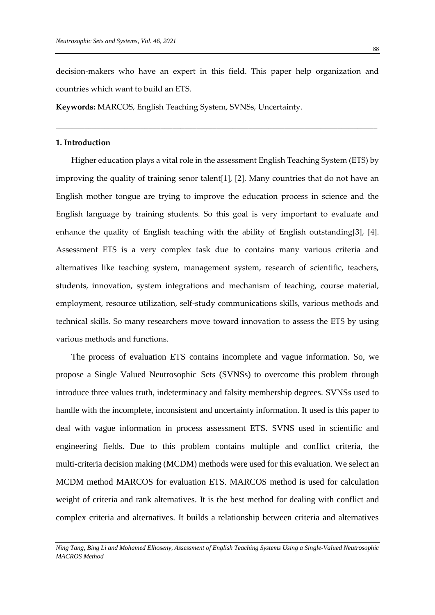decision-makers who have an expert in this field. This paper help organization and countries which want to build an ETS.

\_\_\_\_\_\_\_\_\_\_\_\_\_\_\_\_\_\_\_\_\_\_\_\_\_\_\_\_\_\_\_\_\_\_\_\_\_\_\_\_\_\_\_\_\_\_\_\_\_\_\_\_\_\_\_\_\_\_\_\_\_\_\_\_\_\_\_\_\_\_\_\_\_\_\_\_\_\_\_\_

**Keywords:** MARCOS, English Teaching System, SVNSs, Uncertainty.

## **1. Introduction**

Higher education plays a vital role in the assessment English Teaching System (ETS) by improving the quality of training senor talent[1], [2]. Many countries that do not have an English mother tongue are trying to improve the education process in science and the English language by training students. So this goal is very important to evaluate and enhance the quality of English teaching with the ability of English outstanding[3], [4]. Assessment ETS is a very complex task due to contains many various criteria and alternatives like teaching system, management system, research of scientific, teachers, students, innovation, system integrations and mechanism of teaching, course material, employment, resource utilization, self-study communications skills, various methods and technical skills. So many researchers move toward innovation to assess the ETS by using various methods and functions.

The process of evaluation ETS contains incomplete and vague information. So, we propose a Single Valued Neutrosophic Sets (SVNSs) to overcome this problem through introduce three values truth, indeterminacy and falsity membership degrees. SVNSs used to handle with the incomplete, inconsistent and uncertainty information. It used is this paper to deal with vague information in process assessment ETS. SVNS used in scientific and engineering fields. Due to this problem contains multiple and conflict criteria, the multi-criteria decision making (MCDM) methods were used for this evaluation. We select an MCDM method MARCOS for evaluation ETS. MARCOS method is used for calculation weight of criteria and rank alternatives. It is the best method for dealing with conflict and complex criteria and alternatives. It builds a relationship between criteria and alternatives

*Ning Tang, Bing Li and Mohamed Elhoseny, Assessment of English Teaching Systems Using a Single-Valued Neutrosophic MACROS Method*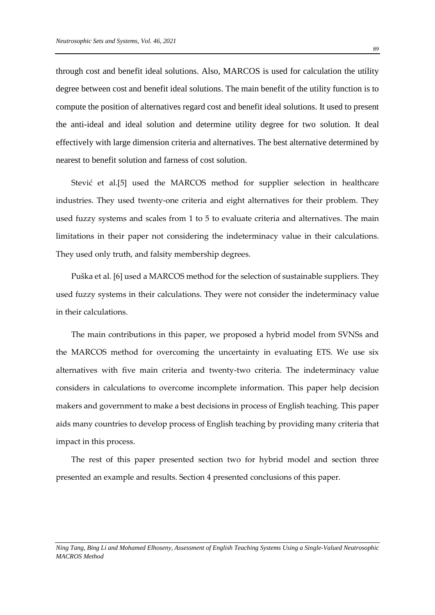through cost and benefit ideal solutions. Also, MARCOS is used for calculation the utility degree between cost and benefit ideal solutions. The main benefit of the utility function is to compute the position of alternatives regard cost and benefit ideal solutions. It used to present the anti-ideal and ideal solution and determine utility degree for two solution. It deal effectively with large dimension criteria and alternatives. The best alternative determined by nearest to benefit solution and farness of cost solution.

Stević et al.[5] used the MARCOS method for supplier selection in healthcare industries. They used twenty-one criteria and eight alternatives for their problem. They used fuzzy systems and scales from 1 to 5 to evaluate criteria and alternatives. The main limitations in their paper not considering the indeterminacy value in their calculations. They used only truth, and falsity membership degrees.

Puška et al. [6] used a MARCOS method for the selection of sustainable suppliers. They used fuzzy systems in their calculations. They were not consider the indeterminacy value in their calculations.

The main contributions in this paper, we proposed a hybrid model from SVNSs and the MARCOS method for overcoming the uncertainty in evaluating ETS. We use six alternatives with five main criteria and twenty-two criteria. The indeterminacy value considers in calculations to overcome incomplete information. This paper help decision makers and government to make a best decisions in process of English teaching. This paper aids many countries to develop process of English teaching by providing many criteria that impact in this process.

The rest of this paper presented section two for hybrid model and section three presented an example and results. Section 4 presented conclusions of this paper.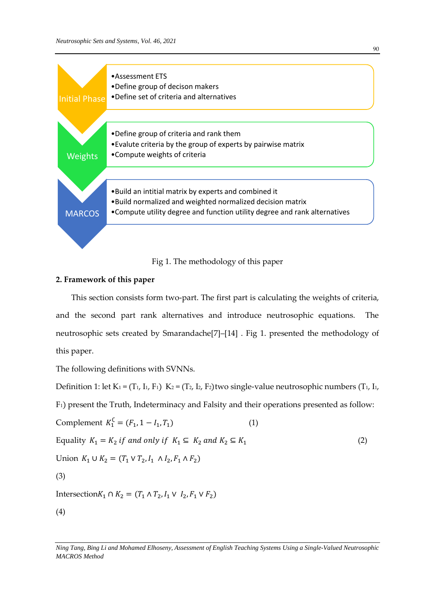

Fig 1. The methodology of this paper

## **2. Framework of this paper**

This section consists form two-part. The first part is calculating the weights of criteria, and the second part rank alternatives and introduce neutrosophic equations. The neutrosophic sets created by Smarandache[7]–[14] . Fig 1. presented the methodology of this paper.

The following definitions with SVNNs.

Definition 1: let  $K_1 = (T_1, I_1, F_1) K_2 = (T_2, I_2, F_2)$ two single-value neutrosophic numbers (T<sub>1</sub>, I<sub>1</sub>,

F1) present the Truth, Indeterminacy and Falsity and their operations presented as follow:

Complement 
$$
K_1^C = (F_1, 1 - I_1, T_1)
$$
 (1)

$$
Equality K_1 = K_2 \text{ if and only if } K_1 \subseteq K_2 \text{ and } K_2 \subseteq K_1
$$
\n
$$
(2)
$$

Union 
$$
K_1 \cup K_2 = (T_1 \vee T_2, I_1 \wedge I_2, F_1 \wedge F_2)
$$

(3)

Intersection $K_1$  ∩  $K_2 = (T_1 \land T_2, I_1 \lor I_2, F_1 \lor F_2)$ 

(4)

*Ning Tang, Bing Li and Mohamed Elhoseny, Assessment of English Teaching Systems Using a Single-Valued Neutrosophic MACROS Method*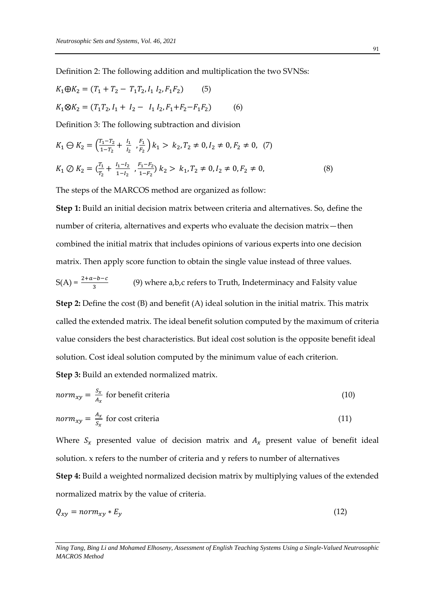Definition 2: The following addition and multiplication the two SVNSs:

$$
K_1 \oplus K_2 = (T_1 + T_2 - T_1 T_2, I_1 I_2, F_1 F_2)
$$
(5)  

$$
K_1 \otimes K_2 = (T_1 T_2, I_1 + I_2 - I_1 I_2, F_1 + F_2 - F_1 F_2)
$$
(6)

Definition 3: The following subtraction and division

$$
K_1 \ominus K_2 = \left(\frac{T_1 - T_2}{1 - T_2} + \frac{l_1}{l_2}, \frac{F_1}{F_2}\right) k_1 > k_2, T_2 \neq 0, I_2 \neq 0, F_2 \neq 0, (7)
$$
  

$$
K_1 \oslash K_2 = \left(\frac{T_1}{T_2} + \frac{l_1 - l_2}{1 - l_2}, \frac{F_1 - F_2}{1 - F_2}\right) k_2 > k_1, T_2 \neq 0, I_2 \neq 0, F_2 \neq 0,
$$
 (8)

The steps of the MARCOS method are organized as follow:

**Step 1:** Build an initial decision matrix between criteria and alternatives. So, define the number of criteria, alternatives and experts who evaluate the decision matrix—then combined the initial matrix that includes opinions of various experts into one decision matrix. Then apply score function to obtain the single value instead of three values.

 $S(A) = \frac{2+a-b-c}{3}$ (9) where a,b,c refers to Truth, Indeterminacy and Falsity value

**Step 2:** Define the cost (B) and benefit (A) ideal solution in the initial matrix. This matrix called the extended matrix. The ideal benefit solution computed by the maximum of criteria value considers the best characteristics. But ideal cost solution is the opposite benefit ideal solution. Cost ideal solution computed by the minimum value of each criterion.

**Step 3:** Build an extended normalized matrix.

$$
norm_{xy} = \frac{S_x}{A_x} \text{ for benefit criteria}
$$
\n<sup>(10)</sup>

$$
norm_{xy} = \frac{A_x}{S_x} \text{ for cost criteria}
$$
 (11)

Where  $S_x$  presented value of decision matrix and  $A_x$  present value of benefit ideal solution. x refers to the number of criteria and y refers to number of alternatives **Step 4:** Build a weighted normalized decision matrix by multiplying values of the extended normalized matrix by the value of criteria.

$$
Q_{xy} = norm_{xy} * E_y \tag{12}
$$

*Ning Tang, Bing Li and Mohamed Elhoseny, Assessment of English Teaching Systems Using a Single-Valued Neutrosophic MACROS Method*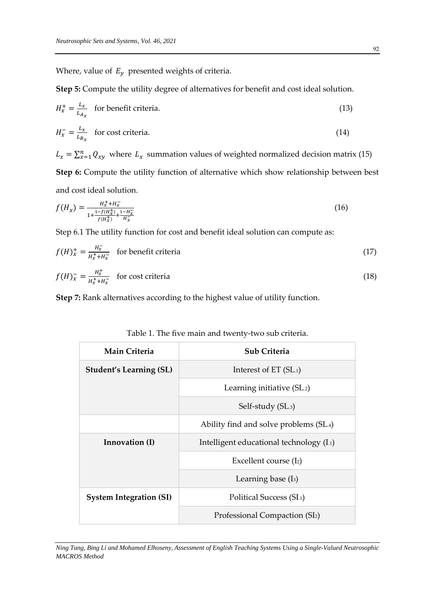Where, value of  $E_y$  presented weights of criteria.

**Step 5:** Compute the utility degree of alternatives for benefit and cost ideal solution.

$$
H_x^+ = \frac{L_x}{L_{A_x}}
$$
 for benefit criteria. (13)

$$
H_{\chi}^{-} = \frac{L_{\chi}}{L_{B_{\chi}}}
$$
 for cost criteria. (14)

 $L_x = \sum_{x=1}^n Q_{xy}$  where  $L_x$  summation values of weighted normalized decision matrix (15) **Step 6:** Compute the utility function of alternative which show relationship between best and cost ideal solution.

$$
f(H_x) = \frac{H_x^+ + H_x^-}{1 + \frac{1 - f(H_x^+)}{f(H_x^+)} + \frac{1 - H_x^-}{H_x^-}}
$$
(16)

Step 6.1 The utility function for cost and benefit ideal solution can compute as:

$$
f(H)_x^+ = \frac{H_x^-}{H_x^+ + H_x^-}
$$
 for benefit criteria (17)

$$
f(H)_{x}^{-} = \frac{H_{x}^{+}}{H_{x}^{+} + H_{x}^{-}}
$$
 for cost criteria (18)

**Step 7:** Rank alternatives according to the highest value of utility function.

| Main Criteria                  | Sub Criteria                               |  |  |
|--------------------------------|--------------------------------------------|--|--|
| <b>Student's Learning (SL)</b> | Interest of $ET(SL_1)$                     |  |  |
|                                | Learning initiative (SL.2)                 |  |  |
|                                | Self-study (SL.3)                          |  |  |
|                                | Ability find and solve problems (SL.4)     |  |  |
| Innovation (I)                 | Intelligent educational technology (I.1)   |  |  |
|                                | Excellent course (I2)                      |  |  |
|                                | Learning base $(I_3)$                      |  |  |
| <b>System Integration (SI)</b> | Political Success (SI.1)                   |  |  |
|                                | Professional Compaction (SI <sub>2</sub> ) |  |  |

| Table 1. The five main and twenty-two sub criteria. |  |  |  |  |
|-----------------------------------------------------|--|--|--|--|
|                                                     |  |  |  |  |

*Ning Tang, Bing Li and Mohamed Elhoseny, Assessment of English Teaching Systems Using a Single-Valued Neutrosophic MACROS Method*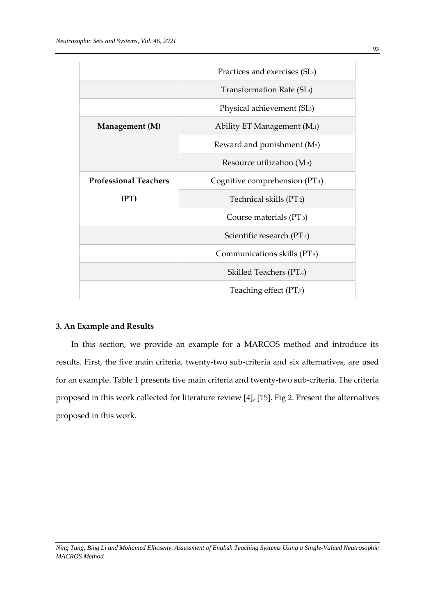|                              | Practices and exercises (SI.3)           |  |  |
|------------------------------|------------------------------------------|--|--|
|                              | Transformation Rate (SI.4)               |  |  |
|                              | Physical achievement (SI. <sub>5</sub> ) |  |  |
| Management (M)               | Ability ET Management (M.1)              |  |  |
|                              | Reward and punishment $(M_2)$            |  |  |
|                              | Resource utilization (M.3)               |  |  |
| <b>Professional Teachers</b> | Cognitive comprehension (PT.1)           |  |  |
| (PT)                         | Technical skills (PT.2)                  |  |  |
|                              | Course materials (PT.3)                  |  |  |
|                              | Scientific research (PT.4)               |  |  |
|                              | Communications skills (PT.5)             |  |  |
|                              | Skilled Teachers (PT.6)                  |  |  |
|                              | Teaching effect (PT.7)                   |  |  |

#### **3. An Example and Results**

In this section, we provide an example for a MARCOS method and introduce its results. First, the five main criteria, twenty-two sub-criteria and six alternatives, are used for an example. Table 1 presents five main criteria and twenty-two sub-criteria. The criteria proposed in this work collected for literature review [4], [15]. Fig 2. Present the alternatives proposed in this work.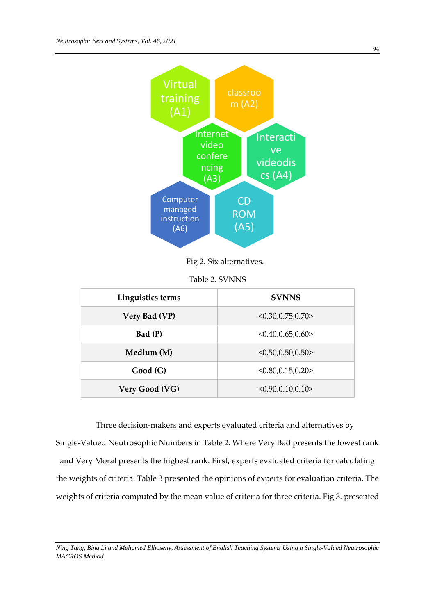

Fig 2. Six alternatives.

| Table 2. SVNNS |  |
|----------------|--|
|----------------|--|

| Linguistics terms | <b>SVNNS</b>       |
|-------------------|--------------------|
| Very Bad (VP)     | < 0.30, 0.75, 0.70 |
| Bad (P)           | <0.40, 0.65, 0.60> |
| Medium (M)        | < 0.50, 0.50, 0.50 |
| Good(G)           | < 0.80, 0.15, 0.20 |
| Very Good (VG)    | <0.90, 0.10, 0.10> |

Three decision-makers and experts evaluated criteria and alternatives by Single-Valued Neutrosophic Numbers in Table 2. Where Very Bad presents the lowest rank and Very Moral presents the highest rank. First, experts evaluated criteria for calculating the weights of criteria. Table 3 presented the opinions of experts for evaluation criteria. The weights of criteria computed by the mean value of criteria for three criteria. Fig 3. presented

*Ning Tang, Bing Li and Mohamed Elhoseny, Assessment of English Teaching Systems Using a Single-Valued Neutrosophic MACROS Method*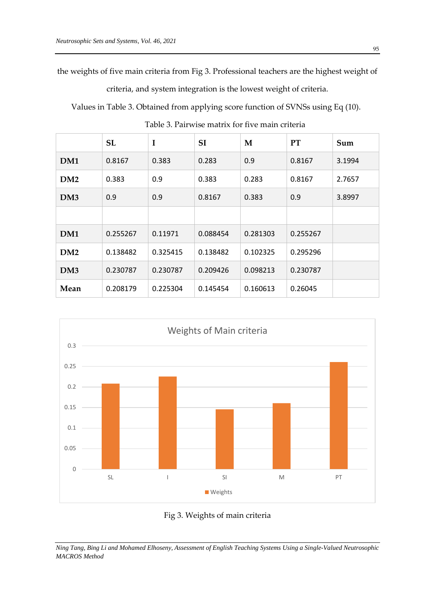the weights of five main criteria from Fig 3. Professional teachers are the highest weight of

criteria, and system integration is the lowest weight of criteria.

Values in Table 3. Obtained from applying score function of SVNSs using Eq (10).

|                 | <b>SL</b> | I        | <b>SI</b> | M        | <b>PT</b> | Sum    |
|-----------------|-----------|----------|-----------|----------|-----------|--------|
| DM1             | 0.8167    | 0.383    | 0.283     | 0.9      | 0.8167    | 3.1994 |
| DM2             | 0.383     | 0.9      | 0.383     | 0.283    | 0.8167    | 2.7657 |
| DM <sub>3</sub> | 0.9       | 0.9      | 0.8167    | 0.383    | 0.9       | 3.8997 |
|                 |           |          |           |          |           |        |
| DM1             | 0.255267  | 0.11971  | 0.088454  | 0.281303 | 0.255267  |        |
| DM2             | 0.138482  | 0.325415 | 0.138482  | 0.102325 | 0.295296  |        |
| DM <sub>3</sub> | 0.230787  | 0.230787 | 0.209426  | 0.098213 | 0.230787  |        |
| Mean            | 0.208179  | 0.225304 | 0.145454  | 0.160613 | 0.26045   |        |

Table 3. Pairwise matrix for five main criteria



Fig 3. Weights of main criteria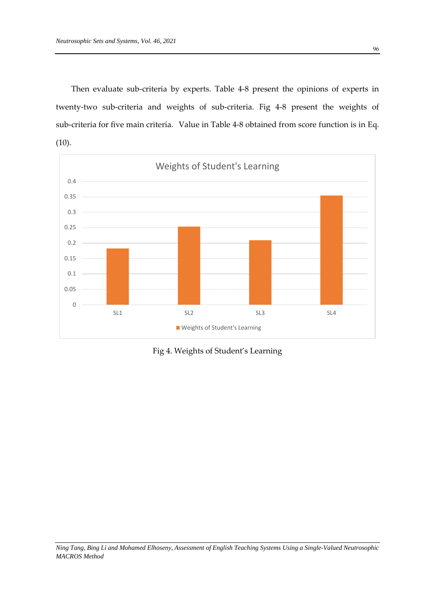Then evaluate sub-criteria by experts. Table 4-8 present the opinions of experts in twenty-two sub-criteria and weights of sub-criteria. Fig 4-8 present the weights of sub-criteria for five main criteria. Value in Table 4-8 obtained from score function is in Eq.  $(10).$ 



Fig 4. Weights of Student's Learning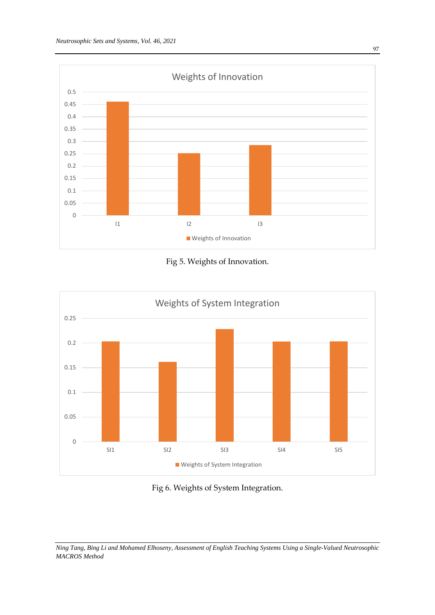





## Fig 6. Weights of System Integration.

*Ning Tang, Bing Li and Mohamed Elhoseny, Assessment of English Teaching Systems Using a Single-Valued Neutrosophic MACROS Method*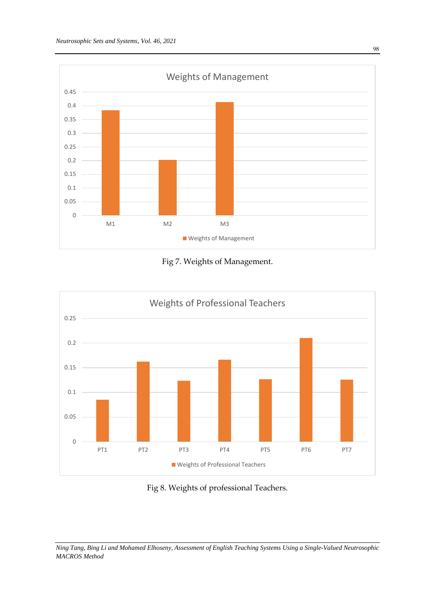





## Fig 8. Weights of professional Teachers.

*Ning Tang, Bing Li and Mohamed Elhoseny, Assessment of English Teaching Systems Using a Single-Valued Neutrosophic MACROS Method*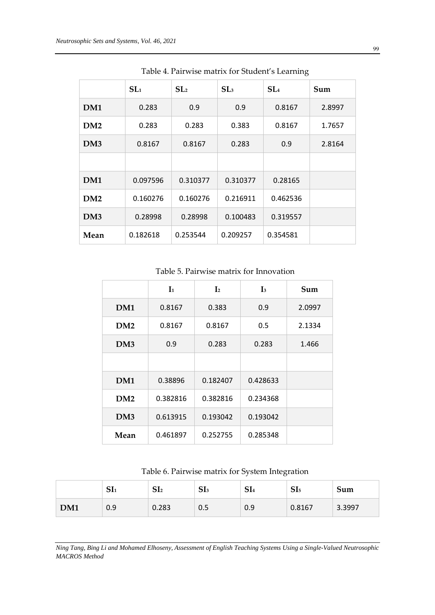|                 | SL <sub>1</sub> | SL <sub>2</sub> | SL <sub>3</sub> | SL <sub>4</sub> | Sum    |
|-----------------|-----------------|-----------------|-----------------|-----------------|--------|
| DM1             | 0.283           | 0.9             | 0.9             | 0.8167          | 2.8997 |
| DM2             | 0.283           | 0.283           | 0.383           | 0.8167          | 1.7657 |
| DM <sub>3</sub> | 0.8167          | 0.8167          | 0.283           | 0.9             | 2.8164 |
|                 |                 |                 |                 |                 |        |
| DM1             | 0.097596        | 0.310377        | 0.310377        | 0.28165         |        |
| DM2             | 0.160276        | 0.160276        | 0.216911        | 0.462536        |        |
| DM <sub>3</sub> | 0.28998         | 0.28998         | 0.100483        | 0.319557        |        |
| Mean            | 0.182618        | 0.253544        | 0.209257        | 0.354581        |        |

Table 4. Pairwise matrix for Student's Learning

Table 5. Pairwise matrix for Innovation

|                 | $\mathbf{I}_1$ | $\mathbf{I}_2$ | $\mathbf{I}_3$ | Sum    |
|-----------------|----------------|----------------|----------------|--------|
| DM1             | 0.8167         | 0.383          | 0.9            | 2.0997 |
| DM2             | 0.8167         | 0.8167         | 0.5            | 2.1334 |
| DM <sub>3</sub> | 0.9            | 0.283          | 0.283          | 1.466  |
|                 |                |                |                |        |
| DM1             | 0.38896        | 0.182407       | 0.428633       |        |
| DM2             | 0.382816       | 0.382816       | 0.234368       |        |
| DM <sub>3</sub> | 0.613915       | 0.193042       | 0.193042       |        |
| Mean            | 0.461897       | 0.252755       | 0.285348       |        |

Table 6. Pairwise matrix for System Integration

|     | <b>CIT</b><br>511 | CΙ<br>512 | SI <sub>3</sub> | SI <sub>4</sub> | SI <sub>5</sub> | Sum    |
|-----|-------------------|-----------|-----------------|-----------------|-----------------|--------|
| DM1 | 0.9               | 0.283     | 0.5             | 0.9             | 0.8167          | 3.3997 |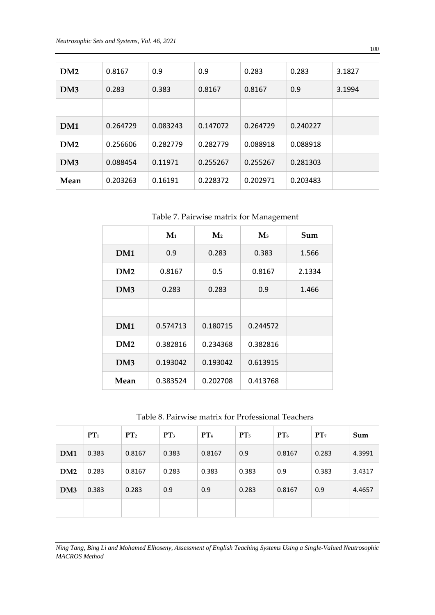| DM2             | 0.8167   | 0.9      | 0.9      | 0.283    | 0.283    | 3.1827 |
|-----------------|----------|----------|----------|----------|----------|--------|
| DM <sub>3</sub> | 0.283    | 0.383    | 0.8167   | 0.8167   | 0.9      | 3.1994 |
|                 |          |          |          |          |          |        |
| DM1             | 0.264729 | 0.083243 | 0.147072 | 0.264729 | 0.240227 |        |
| DM2             | 0.256606 | 0.282779 | 0.282779 | 0.088918 | 0.088918 |        |
| DM3             | 0.088454 | 0.11971  | 0.255267 | 0.255267 | 0.281303 |        |
| Mean            | 0.203263 | 0.16191  | 0.228372 | 0.202971 | 0.203483 |        |

Table 7. Pairwise matrix for Management

|                 | $M1$     | $\mathbf{M}$ | $\mathbf{M}_3$ | Sum    |
|-----------------|----------|--------------|----------------|--------|
| DM1             | 0.9      | 0.283        | 0.383          | 1.566  |
| DM2             | 0.8167   | 0.5          | 0.8167         | 2.1334 |
| DM <sub>3</sub> | 0.283    | 0.283        | 0.9            | 1.466  |
|                 |          |              |                |        |
| DM1             | 0.574713 | 0.180715     | 0.244572       |        |
| DM2             | 0.382816 | 0.234368     | 0.382816       |        |
| DM <sub>3</sub> | 0.193042 | 0.193042     | 0.613915       |        |
| Mean            | 0.383524 | 0.202708     | 0.413768       |        |

Table 8. Pairwise matrix for Professional Teachers

|                 | PT <sub>1</sub> | PT <sub>2</sub> | PT <sub>3</sub> | PT <sub>4</sub> | PT <sub>5</sub> | $PT_6$ | PT <sub>7</sub> | Sum    |
|-----------------|-----------------|-----------------|-----------------|-----------------|-----------------|--------|-----------------|--------|
| DM1             | 0.383           | 0.8167          | 0.383           | 0.8167          | 0.9             | 0.8167 | 0.283           | 4.3991 |
| DM2             | 0.283           | 0.8167          | 0.283           | 0.383           | 0.383           | 0.9    | 0.383           | 3.4317 |
| DM <sub>3</sub> | 0.383           | 0.283           | 0.9             | 0.9             | 0.283           | 0.8167 | 0.9             | 4.4657 |
|                 |                 |                 |                 |                 |                 |        |                 |        |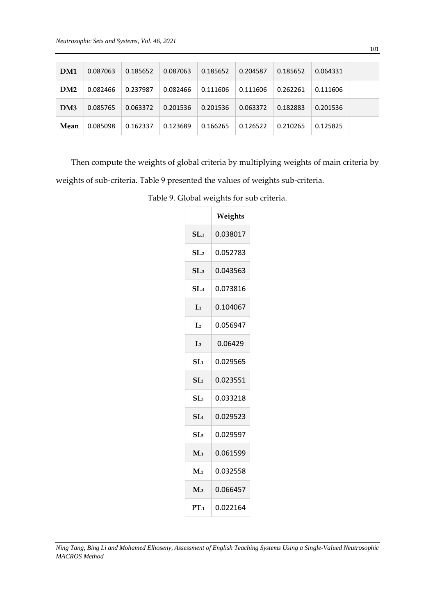| DM <sub>1</sub> | 0.087063 | 0.185652 | 0.087063 | 0.185652 | 0.204587 | 0.185652 | 0.064331 |  |
|-----------------|----------|----------|----------|----------|----------|----------|----------|--|
| DM2             | 0.082466 | 0.237987 | 0.082466 | 0.111606 | 0.111606 | 0.262261 | 0.111606 |  |
| DM <sub>3</sub> | 0.085765 | 0.063372 | 0.201536 | 0.201536 | 0.063372 | 0.182883 | 0.201536 |  |
| Mean            | 0.085098 | 0.162337 | 0.123689 | 0.166265 | 0.126522 | 0.210265 | 0.125825 |  |

Then compute the weights of global criteria by multiplying weights of main criteria by weights of sub-criteria. Table 9 presented the values of weights sub-criteria.

|                   | Weights  |
|-------------------|----------|
| SL <sub>1</sub>   | 0.038017 |
| SL <sub>2</sub>   | 0.052783 |
| SL <sub>3</sub>   | 0.043563 |
| SL <sub>4</sub>   | 0.073816 |
| $\mathbf{I}_{.1}$ | 0.104067 |
| $I_{.2}$          | 0.056947 |
| $I_{.3}$          | 0.06429  |
| SI <sub>1</sub>   | 0.029565 |
| SI <sub>2</sub>   | 0.023551 |
| SI <sub>3</sub>   | 0.033218 |
| SI <sub>4</sub>   | 0.029523 |
| SL <sub>5</sub>   | 0.029597 |
| M <sub>1</sub>    | 0.061599 |
| $M_{2}$           | 0.032558 |
| $M_{3}$           | 0.066457 |
| $PT_{.1}$         | 0.022164 |

Table 9. Global weights for sub criteria.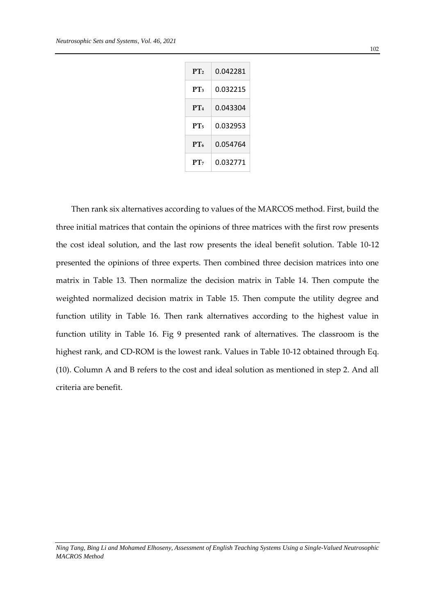| PT <sub>2</sub> | 0.042281 |
|-----------------|----------|
| PT <sub>3</sub> | 0.032215 |
| PT <sub>4</sub> | 0.043304 |
| PT <sub>5</sub> | 0.032953 |
| PT <sub>6</sub> | 0.054764 |
| PT <sub>7</sub> | 0.032771 |

Then rank six alternatives according to values of the MARCOS method. First, build the three initial matrices that contain the opinions of three matrices with the first row presents the cost ideal solution, and the last row presents the ideal benefit solution. Table 10-12 presented the opinions of three experts. Then combined three decision matrices into one matrix in Table 13. Then normalize the decision matrix in Table 14. Then compute the weighted normalized decision matrix in Table 15. Then compute the utility degree and function utility in Table 16. Then rank alternatives according to the highest value in function utility in Table 16. Fig 9 presented rank of alternatives. The classroom is the highest rank, and CD-ROM is the lowest rank. Values in Table 10-12 obtained through Eq. (10). Column A and B refers to the cost and ideal solution as mentioned in step 2. And all criteria are benefit.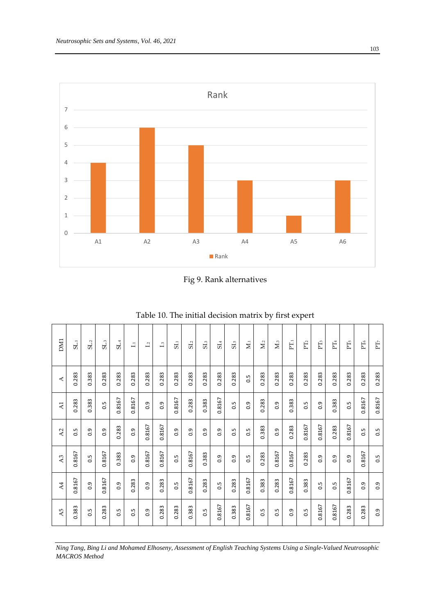

Fig 9. Rank alternatives

| <b>DM1</b>       | SL <sub>1</sub> | SL <sub>2</sub> | SL <sub>3</sub> | SL <sub>4</sub> | $\Box$ | $\overline{12}$  | $\mathbf{L}^3$ | SL <sub>1</sub> | SL <sub>2</sub> | SL <sub>3</sub> | SL <sub>4</sub>  | SL <sub>5</sub>   | $\overline{\mathbf{M}}$ | $M_{.2}$          | $M_{.3}$         | $\Gamma_{1}$   | PT <sub>2</sub> | PT <sub>3</sub> | $PT_4$            | PT <sub>5</sub> | $PT_6$ | PT <sub>7</sub> |
|------------------|-----------------|-----------------|-----------------|-----------------|--------|------------------|----------------|-----------------|-----------------|-----------------|------------------|-------------------|-------------------------|-------------------|------------------|----------------|-----------------|-----------------|-------------------|-----------------|--------|-----------------|
| ⋖                | 0.283           | 0.383           | 0.283           | 0.283           | 0.283  | 0.283            | 0.283          | 0.283           | 0.283           | 0.283           | 0.283            | 0.283             | 0.5                     | 0.283             | 0.283            | 0.283          | 0.283           | 0.283           | 0.283             | 0.283           | 0.283  | 0.283           |
| $\overline{A1}$  | 0.283           | 0.383           | 0.5             | 0.8167          | 0.8167 | 0.9              | 0.9            | 0.8167          | 0.283           | 0.383           | 0.8167           | 0.5               | 0.9                     | 0.283             | $\overline{0}$ . | 0.383          | 0.5             | 0.9             | 0.383             | 0.5             | 0.8167 | 0.8167          |
| $\lambda$ 2      | 0.5             | $\overline{0}$  | 0.9             | 0.283           | 0.9    | 0.8167           | 0.8167         | 0.9             | 0.9             | 0.9             | $\overline{0}$ . | $\overline{0}$ .5 | $\overline{0}$          | 0.383             | $\overline{0}$   | 0.283          | 0.8167          | 0.8167          | 0.283             | 0.8167          | 0.5    | 0.5             |
| A <sub>3</sub>   | 0.8167          | $\ddot{0}$      | 0.8167          | 0.383           | 0.9    | 0.8167           | 0.8167         | 0.5             | 0.8167          | 0.383           | 0.9              | $\overline{0}$ .  | $\overline{0}$          | 0.283             | 0.8167           | 0.8167         | 0.283           | 0.9             | $\overline{0}$ .  | 0.9             | 0.8167 | 0.5             |
| $\overline{A}$   | 0.8167          | 0.9             | 0.8167          | 0.9             | 0.283  | $\overline{0}$   | 0.283          | 0.5             | 0.8167          | 0.283           | $\ddot{0}$       | 0.283             | 0.8167                  | 0.383             | 0.283            | 0.8167         | 0.383           | 0.5             | $\overline{0}$ .5 | 0.8167          | 0.9    | 0.9             |
| $\overline{A}$ 5 | 0.383           | $\overline{0}$  | 0.283           | 0.5             | 0.5    | $\overline{0}$ . | 0.283          | 0.283           | 0.383           | $\overline{0}$  | 0.8167           | 0.383             | 0.8167                  | $\overline{0}$ .5 | $\overline{0}$   | $\overline{0}$ | 0.5             | 0.8167          | 0.8167            | 0.283           | 0.283  | 0.9             |

| Table 10. The initial decision matrix by first expert |  |
|-------------------------------------------------------|--|
|-------------------------------------------------------|--|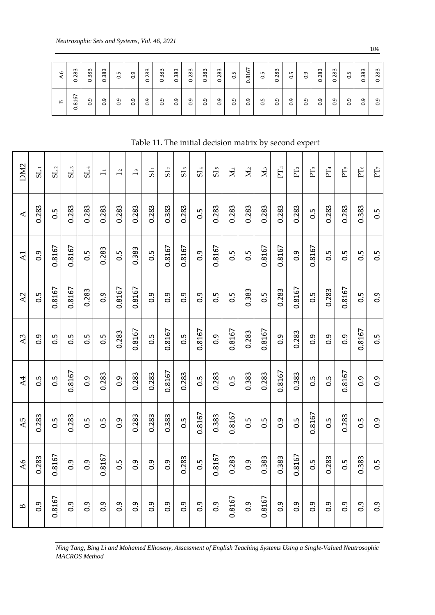| A6           | 283<br>ö | 0.383 | 0.383            | $\sim$       | $\overline{0}$ . | 0.283            | 383<br>ö       | 383<br>ö | 283<br>ö | 383<br>$\mathbf{o}$ | 0.283         | 0.5 | 0.8167           | 50  | 0.283          | 0.5              | $\overline{0}$ . | 0.283            | 0.283            | C.5           | 0.383            | 283<br>Ö     |
|--------------|----------|-------|------------------|--------------|------------------|------------------|----------------|----------|----------|---------------------|---------------|-----|------------------|-----|----------------|------------------|------------------|------------------|------------------|---------------|------------------|--------------|
| $\mathbf{D}$ | 0.8167   | 0.9   | $\overline{0}$ . | ு<br>$\circ$ | $\overline{0.9}$ | $\overline{0}$ . | $\overline{0}$ | 0.9      | e.o      | 0.9                 | $\frac{9}{2}$ | 0.9 | $\overline{0}$ . | 3.0 | $\overline{0}$ | $\overline{0.9}$ | $\overline{0.9}$ | $\overline{0.9}$ | $\overline{0}$ . | نن<br>$\circ$ | $\overline{0}$ . | ᡡ<br>$\circ$ |

Table 11. The initial decision matrix by second expert

|                      |                  | $\Delta6$        | 0.283                | 0.383            | 0.383            | 0.5            | 0.9            | 0.283            | 0.383            | 0.383                                                                                                              | 0.283            | 0.383<br>0.283   | 0.5                       | 0.816            | 0.5              | 0.283            | 0.5               | 0.9              | 0.283            | 0.283            | 0.5              | 0.383            | 0.283            |
|----------------------|------------------|------------------|----------------------|------------------|------------------|----------------|----------------|------------------|------------------|--------------------------------------------------------------------------------------------------------------------|------------------|------------------|---------------------------|------------------|------------------|------------------|-------------------|------------------|------------------|------------------|------------------|------------------|------------------|
|                      |                  | $\mathbf{B}$     | 0.8167               | 0.9              | 0.9              | 0.9            | 0.9            | $\overline{0}$ . | $\overline{0}$ . | $\overline{0}$ .                                                                                                   | 0.9              | 0.9<br>0.9       | 0.9                       | $\overline{0}$ . | 0.5              | $\overline{0}$ . | $\overline{0}$ .0 | $\overline{0}$ . | 0.9              | $\overline{0}$ . | $\overline{0}$ . | 0.9              | $\overline{0}$ . |
|                      |                  |                  |                      |                  |                  |                |                |                  |                  | Table 11. The initial decision matrix by second expert                                                             |                  |                  |                           |                  |                  |                  |                   |                  |                  |                  |                  |                  |                  |
|                      |                  |                  |                      |                  |                  |                |                |                  |                  |                                                                                                                    |                  |                  |                           |                  |                  |                  |                   |                  |                  |                  |                  |                  |                  |
| DM <sub>2</sub>      | SL <sub>1</sub>  | SL <sub>2</sub>  | SL <sub>3</sub>      | SL <sub>4</sub>  | $\Box$           | $\overline{L}$ | $\mathbf{I}_3$ | 5i               | SL <sub>2</sub>  | SL <sub>3</sub>                                                                                                    | SL <sub>4</sub>  | SL <sub>5</sub>  | $\overline{\mathbf{M}}$ . | $M_{.2}$         | $M_{3}$          | $PT_{1}$         | PT <sub>2</sub>   | PT <sub>3</sub>  | $\Gamma\!T_4$    |                  | $PT_5$           | $\rm PT_6$       | $\rm PT$         |
| $\blacktriangleleft$ | 0.283            | $0.\overline{5}$ | 0.283                | 0.283            | 0.283            | 0.283          | 0.283          | 0.283            | 0.383            | 0.283                                                                                                              | 0.5              | 0.283            | 0.283                     | 0.283            | 0.283            | 0.283            | 0.283             | 0.5              | 0.283            |                  | 0.283            | 0.383            | 0.5              |
| $\overline{A}$       | 0.9              | 0.8167           | 0.8167               | 0.5              | 0.283            | 0.5            | 0.383          | 0.5              | 0.8167           | 0.8167                                                                                                             | 0.9              | 0.8167           | 0.5                       | 0.5              | 0.8167           | 0.8167           | $\overline{0}$    | 0.8167           | $\ddot{0}$       |                  | $\ddot{0}$       | 0.5              | $\overline{0}$   |
| A2                   | 0.5              | 0.8167           | 0.8167               | 0.283            | $\overline{0}$ . | 0.8167         | 0.8167         | 0.9              | $0.\overline{9}$ | 0.9                                                                                                                | $0.\overline{9}$ | $0.\overline{5}$ | 0.5                       | 0.383            | 0.5              | 0.283            | 0.8167            | 0.5              | 0.283            |                  | 0.8167           | 0.5              | 0.9              |
| A <sub>3</sub>       | 0.9              | 0.5              | 0.5                  | 0.5              | 0.5              | 0.283          | 0.8167         | $0.\overline{5}$ | 0.8167           | 0.5                                                                                                                | 0.8167           | $\overline{0}$ . | 0.8167                    | 0.283            | 0.8167           | 0.9              | 0.283             | 0.9              | 0.9              |                  | $0.\overline{9}$ | 0.8167           | $\overline{0}$   |
| A4                   | 0.5              | 0.5              | 0.8167               | $\overline{0}$ . | 0.283            | 0.9            | 0.283          | 0.283            | 0.8167           | 0.283                                                                                                              | 0.5              | 0.283            | 0.5                       | 0.383            | 0.283            | 0.8167           | 0.383             | 0.5              | 0.5              |                  | 0.8167           | $\overline{0}$ . | $\overline{0}$ . |
| A5                   | 0.283            | 0.5              | 0.283                | 0.5              | $0.\overline{5}$ | 0.9            | 0.283          | 0.283            | 0.383            | 0.5                                                                                                                | 0.8167           | 0.383            | 0.8167                    | 0.5              | $0.\overline{5}$ | 0.9              | 0.5               | 0.8167           | 0.5              |                  | 0.283            | 0.5              | $\overline{0}$ . |
| A6                   | 0.283            | 0.8167           | 0.9                  | 0.9              | 0.8167           | 0.5            | 0.9            | $\overline{0}$ . | $\overline{0}$ . | 0.283                                                                                                              | 0.5              | 0.8167           | 0.283                     | 0.9              | 0.383            | 0.383            | 0.8167            | $\ddot{0}$ .     | 0.283            |                  | 0.5              | 0.383            | 0.5              |
| $\mathbf{B}$         | $\overline{0}$ . | 0.8167           | 0.9                  | 0.9              | $\overline{0}$ . | 0.9            | 0.9            | $\overline{0.9}$ | $\overline{0.9}$ | $\overline{0}$ .                                                                                                   | $\overline{0}$ . | $\frac{9}{2}$    | 0.8167                    | 0.9              | 0.8167           | 0.9              | 0.9               | $\overline{0}$ . | $\overline{0}$ . |                  | $\overline{0}$ . | $\overline{0}$ . | 0.9              |
|                      |                  |                  | <b>MACROS</b> Method |                  |                  |                |                |                  |                  | Ning Tang, Bing Li and Mohamed Elhoseny, Assessment of English Teaching Systems Using a Single-Valued Neutrosophic |                  |                  |                           |                  |                  |                  |                   |                  |                  |                  |                  |                  |                  |

*Ning Tang, Bing Li and Mohamed Elhoseny, Assessment of English Teaching Systems Using a Single-Valued Neutrosophic*  **MACROS** Method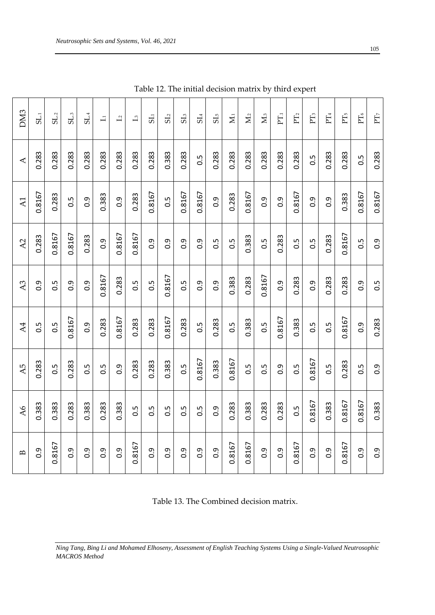| 0.8167<br>0.283<br>A <sub>2</sub><br>A <sub>3</sub><br>$\overline{0}$ .<br>$\overline{A4}$<br>0.5<br>0.283<br>A5 |
|------------------------------------------------------------------------------------------------------------------|
| 0.8167<br>0.8167<br>0.5<br>$\overline{0}$ .<br>0.8167<br>0.5<br>0.283<br>0.5                                     |
| 0.283<br>$\overline{0}$ .<br>0.9<br>0.5                                                                          |
| $\overline{0}$ .<br>0.8167<br>0.283<br>0.5                                                                       |
| 0.8167<br>0.283<br>0.8167<br>$0.\overline{9}$                                                                    |
| 0.8167<br>$0.\overline{5}$<br>0.283<br>0.283                                                                     |
| $\overline{0}$ .<br>$0.\overline{5}$<br>0.283<br>0.283                                                           |
| $\overline{0}$ .<br>0.8167<br>0.8167<br>0.383                                                                    |
| 0.9<br>$0.\overline{5}$<br>0.283<br>$0.\overline{5}$                                                             |
| $\frac{6}{2}$<br>$\frac{6}{2}$<br>0.5<br>0.8167                                                                  |
| 0.5<br>$\overline{0}$ .<br>0.283<br>0.383                                                                        |
| 0.5<br>0.383<br>0.5<br>0.8167                                                                                    |
| 0.383<br>0.283<br>0.383<br>0.5                                                                                   |
| 0.5<br>0.8167<br>0.5<br>0.5                                                                                      |
| 0.283<br>0.9<br>0.8167<br>$\overline{0}$ .                                                                       |
| $\frac{5}{2}$<br>0.283<br>0.383<br>0.5                                                                           |
| $\ddot{0}$<br>0.9<br>0.5<br>0.8167                                                                               |
| 0.283<br>0.283<br>0.5<br>0.5                                                                                     |
| 0.8167<br>0.283<br>0.8167<br>0.283                                                                               |
| 0.5<br>$\overline{0}$ .<br>0.9<br>$0.\overline{5}$                                                               |
| $0.\overline{9}$<br>0.5<br>0.283<br>0.9                                                                          |

Table 12. The initial decision matrix by third expert

Table 13. The Combined decision matrix.

*Ning Tang, Bing Li and Mohamed Elhoseny, Assessment of English Teaching Systems Using a Single-Valued Neutrosophic MACROS Method*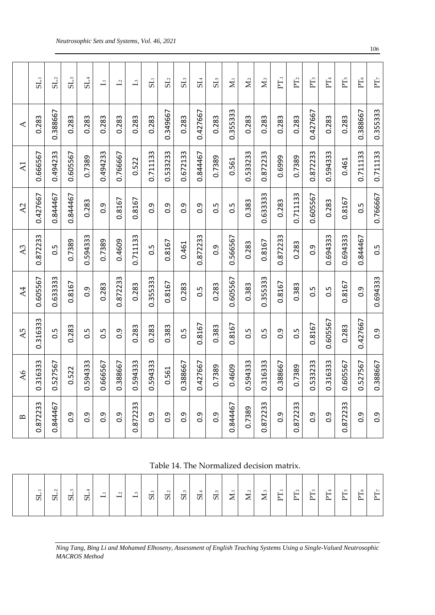|                          | $\overline{\overline{5}}$ | SL <sub>2</sub> | SL <sub>3</sub>  | SL <sub>4</sub>  | $\Box$           | $\overline{1}$   | $\overline{\mathbf{L}}$ | $\overline{\text{S}}$ | SL <sub>2</sub>  | SL <sub>3</sub> | SL <sub>4</sub>  | SL <sub>5</sub>  | $\sum_{i=1}^{n}$ | $\sum_{i=1}^{n}$ | $M_{\cdot3}$ | E        | PT <sub>2</sub> | $PT_3$           | PT <sub>4</sub> | PT <sub>5</sub> | $PT_6$           | PT <sub>7</sub>  |
|--------------------------|---------------------------|-----------------|------------------|------------------|------------------|------------------|-------------------------|-----------------------|------------------|-----------------|------------------|------------------|------------------|------------------|--------------|----------|-----------------|------------------|-----------------|-----------------|------------------|------------------|
| ∢                        | 0.283                     | 0.388667        | 0.283            | 0.283            | 0.283            | 0.283            | 0.283                   | 0.283                 | 0.349667         | 0.283           | 0.427667         | 0.283            | 0.355333         | 0.283            | 0.283        | 0.283    | 0.283           | 0.427667         | 0.283           | 0.283           | 0.388667         | 0.355333         |
| $\overline{A1}$          | 0.666567                  | 0.494233        | 0.605567         | 0.7389           | 0.494233         | 0.766667         | 0.522                   | 0.711133              | 0.533233         | 0.672133        | 0.844467         | 0.7389           | 0.561            | 0.533233         | 0.872233     | 0.6999   | 0.7389          | 0.872233         | 0.594333        | 0.461           | 0.711133         | 0.711133         |
| A2                       | 0.427667                  | 0.844467        | 0.844467         | 0.283            | $\overline{0}$ . | 0.8167           | 0.8167                  | $\overline{0}$ .      | $\overline{0}$ . | 0.9             | $0.\overline{9}$ | 0.5              | 0.5              | 0.383            | 0.633333     | 0.283    | 0.711133        | 0.605567         | 0.283           | 0.8167          | 0.5              | 0.766667         |
| A <sub>3</sub>           | 0.872233                  | 0.5             | 0.7389           | 0.594333         | 0.7389           | 0.4609           | 0.711133                | 0.5                   | 0.8167           | 0.461           | 0.872233         | $0.\overline{9}$ | 0.566567         | 0.283            | 0.8167       | 0.872233 | 0.283           | $\overline{0}$ . | 0.694333        | 0.694333        | 0.844467         | 0.5              |
| $\overline{\mathcal{A}}$ | 0.605567                  | 0.633333        | 0.8167           | $\overline{0}$ . | 0.283            | 0.872233         | 0.283                   | 0.355333              | 0.8167           | 0.283           | 0.5              | 0.283            | 0.605567         | 0.383            | 0.355333     | 0.8167   | 0.383           | 0.5              | 0.5             | 0.8167          | $\overline{0}$ . | 0.694333         |
| $\overline{A}$ 5         | 0.316333                  | 0.5             | 0.283            | $\frac{5}{2}$    | 0.5              | $\overline{0}$ . | 0.283                   | 0.283                 | 0.383            | 0.5             | 0.8167           | 0.383            | 0.8167           | 0.5              | 0.5          | 0.9      | 0.5             | 0.8167           | 0.605567        | 0.283           | 0.427667         | $\overline{0}$ . |
| $\overline{A6}$          | 0.316333                  | 0.527567        | 0.522            | 0.594333         | 0.666567         | 0.388667         | 0.594333                | 0.594333              | 0.561            | 0.388667        | 0.427667         | 0.7389           | 0.4609           | 0.594333         | 0.316333     | 0.388667 | 0.7389          | 0.533233         | 0.316333        | 0.605567        | 0.527567         | 0.388667         |
| $\mathbf{B}$             | 0.872233                  | 0.844467        | $\overline{0}$ . | თ<br>ö           | Ō<br>ö           | Ō<br>ö           | 0.872233                | $0.\overline{9}$      | $\overline{0}$ . | Ō<br>ö          | $0.\overline{9}$ | 0.9              | 0.844467         | 0.7389           | 0.872233     | 0.9      | m<br>87223<br>ö | 0.9              | 0.9             | 872233<br>ö     | $0.\overline{9}$ | 0.9              |

Table 14. The Normalized decision matrix.

|  | $\overline{\phantom{0}}$<br>5. | $\sim$<br>5 | $\sim$<br>5 | 5 | $\Box$ | $\mathbf{L}^2$ | $\mathbb{L}^3$ | $\overline{\mathbf{5}}$ | $5^{\degree}$ | ${\bf S}1_3$ | ${\rm SI}_4$ | SL <sub>5</sub> | $\mathbf{M}_{\cdot1}$ | $M_{.2}$ | $\mathbf{M}_{\cdot3}$ | $\overline{z}$ .<br>$F_{\rm L}$ | ${\rm PT}$ | $PT_3$ | $\rm PT_4$ | $F_{\rm e}$ | $\rm PT_6$ | $\overline{a}$<br>$\overline{\phantom{0}}$ |
|--|--------------------------------|-------------|-------------|---|--------|----------------|----------------|-------------------------|---------------|--------------|--------------|-----------------|-----------------------|----------|-----------------------|---------------------------------|------------|--------|------------|-------------|------------|--------------------------------------------|
|--|--------------------------------|-------------|-------------|---|--------|----------------|----------------|-------------------------|---------------|--------------|--------------|-----------------|-----------------------|----------|-----------------------|---------------------------------|------------|--------|------------|-------------|------------|--------------------------------------------|

*Ning Tang, Bing Li and Mohamed Elhoseny, Assessment of English Teaching Systems Using a Single-Valued Neutrosophic MACROS Method*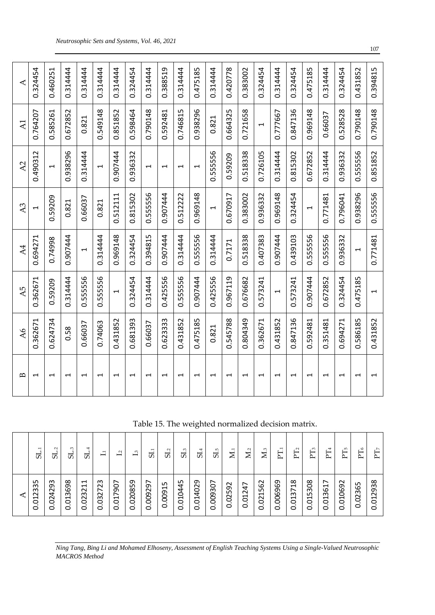| $\mathbf{D}$                   | $\overline{A6}$ | $\overline{A5}$          | $\overline{A4}$          | A <sub>3</sub>           | A <sub>2</sub>           | A <sub>1</sub>           | ⋖           |
|--------------------------------|-----------------|--------------------------|--------------------------|--------------------------|--------------------------|--------------------------|-------------|
| H                              | 0.362671        | 0.362671                 | 0.694271                 | $\blacktriangleleft$     | 0.490312                 | 0.764207                 | 0.324454    |
| H                              | 0.624734        | 0.59209                  | 0.74998                  | 0.59209                  | $\overline{\phantom{0}}$ | 0.585261                 | 0.460251    |
| ⊣                              | 0.58            | 0.314444                 | 0.907444                 | 0.821                    | 0.938296                 | 0.672852                 | 0.314444    |
| H                              | 0.66037         | 0.555556                 | $\overline{\phantom{0}}$ | 0.66037                  | 0.314444                 | 0.821                    | 0.314444    |
| H                              | 0.74063         | 0.555556                 | 0.314444                 | 0.821                    | $\overline{\phantom{0}}$ | 0.549148                 | 0.314444    |
| H                              | 0.431852        | $\overline{\phantom{0}}$ | 0.969148                 | 0.512111                 | 0.907444                 | 0.851852                 | 0.314444    |
| H                              | 0.681393        | 0.324454                 | 0.324454                 | 0.815302                 | 0.936332                 | 0.598464                 | 0.324454    |
| H                              | 0.66037         | 0.314444                 | 0.394815                 | 0.55556                  | $\overline{\phantom{0}}$ | 0.790148                 | 0.314444    |
| H                              | 0.623333        | 0.425556                 | 0.907444                 | 0.907444                 | $\overline{\phantom{0}}$ | 0.592481                 | 0.388519    |
| H                              | 0.431852        | 0.555556                 | 0.314444                 | 0.512222                 | $\overline{\phantom{0}}$ | 0.746815                 | 0.314444    |
| H                              | 0.475185        | 0.907444                 | 0.555556                 | 0.969148                 | $\overline{\phantom{0}}$ | 0.938296                 | 0.475185    |
| H                              | 0.821           | 0.425556                 | 0.314444                 | 1                        | 0.555556                 | 0.821                    | 0.314444    |
| H                              | 0.545788        | 0.967119                 | 0.7171                   | 0.670917                 | 0.59209                  | 0.664325                 | 0.420778    |
| H                              | 0.804349        | 0.676682                 | 0.518338                 | 0.383002                 | 0.518338                 | 0.721658                 | 0.383002    |
| H                              | 0.362671        | 0.573241                 | 0.407383                 | 0.936332                 | 0.726105                 | $\overline{\phantom{0}}$ | 0.324454    |
| H                              | 0.431852        | J                        | 0.907444                 | 0.969148                 | 0.314444                 | 0.777667                 | 0.314444    |
| H                              | 0.847136        | 0.573241                 | 0.439103                 | 0.324454                 | 0.815302                 | 0.847136                 | 0.324454    |
| $\overline{\phantom{0}}$       | 592481<br>ි     | 0.907444                 | 555556<br>ö              | $\overline{\phantom{a}}$ | 0.672852                 | 0.969148                 | 0.475185    |
| H                              | 351481<br>ි     | 0.672852                 | 555556<br>ö              | 0.771481                 | 0.314444                 | 0.66037                  | 314444<br>ö |
| H                              | 0.694271        | 0.324454                 | 0.936332                 | 0.796041                 | 0.936332                 | 0.528528                 | 0.324454    |
| H                              | 0.586185        | 0.475185                 | 1                        | 0.938296                 | 0.555556                 | 0.790148                 | 0.431852    |
| $\mathbf{\mathbf{\mathsf{H}}}$ | 0.431852        | $\overline{\phantom{0}}$ | 0.771481                 | 0.555556                 | 0.851852                 | 0.790148                 | 0.394815    |

Table 15. The weighted normalized decision matrix.

| .2335<br>0.01                                      | H<br>ದ           |
|----------------------------------------------------|------------------|
| 0.024293                                           | Ņ<br>5           |
| 0.013698                                           | Ŵ<br>SJ.         |
| 0.023211                                           | ₩<br>ದ           |
| ന<br>$\overline{z}$<br>0.032                       | 昌                |
| 0.017907                                           | $\overline{L_2}$ |
| 0.020859                                           | $\mathbf{L}^3$   |
| 0.009297                                           | 51               |
| 0.00915                                            | SL <sub>2</sub>  |
| 0.010445                                           | SL <sub>3</sub>  |
| 0.014029                                           | SL <sub>4</sub>  |
| 0.009307                                           | $SL_{5}$         |
| 0.02592                                            | $\sum_{i=1}^{n}$ |
| ∼<br>0.01247                                       | $\sum_{i=1}^{n}$ |
| 0.021562                                           | $\sum_{i=1}^{n}$ |
| 0.006969                                           | $\Gamma_{11}$    |
| 0.013718                                           | PT <sub>2</sub>  |
| 0.015308                                           | $PT_3$           |
| $\overline{\phantom{0}}$<br>0.01361                | $\Gamma_4$       |
| 0.010692                                           | Ë<br>⊵           |
| 0.02365                                            | $PT_6$           |
| $\infty$<br>m<br>ത<br>$\sim$<br>ដ<br>$\dot{\circ}$ | PT <sub>7</sub>  |

*Ning Tang, Bing Li and Mohamed Elhoseny, Assessment of English Teaching Systems Using a Single-Valued Neutrosophic MACROS Method*

107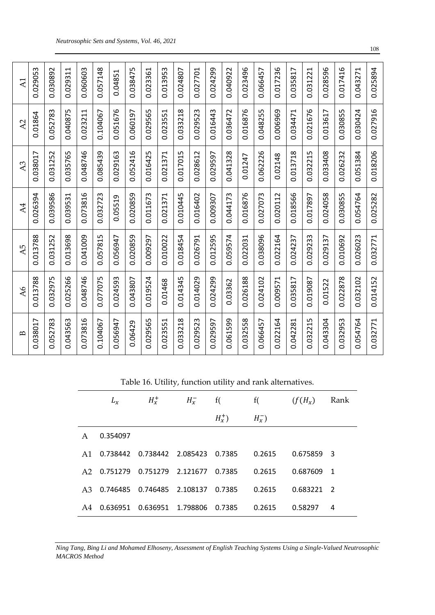Table 16. Utility, function utility and rank alternatives.

|    | $L_x$    | $H_x^+$           | $H_{x}^{-}$ | f(      | f(            | $(f(H_x))$ | Rank           |
|----|----------|-------------------|-------------|---------|---------------|------------|----------------|
|    |          |                   |             | $H_x^+$ | $H_{x}^{-}$ ) |            |                |
| A  | 0.354097 |                   |             |         |               |            |                |
| A1 | 0.738442 | 0.738442 2.085423 |             | 0.7385  | 0.2615        | 0.675859 3 |                |
| A2 | 0.751279 | 0.751279 2.121677 |             | 0.7385  | 0.2615        | 0.687609   | $\overline{1}$ |
| A3 | 0.746485 | 0.746485          | 2.108137    | 0.7385  | 0.2615        | 0.683221   | $\overline{2}$ |
| AA | 0.636951 | 0.636951          | 1.798806    | 0.7385  | 0.2615        | 0.58297    | 4              |

*Ning Tang, Bing Li and Mohamed Elhoseny, Assessment of English Teaching Systems Using a Single-Valued Neutrosophic MACROS Method*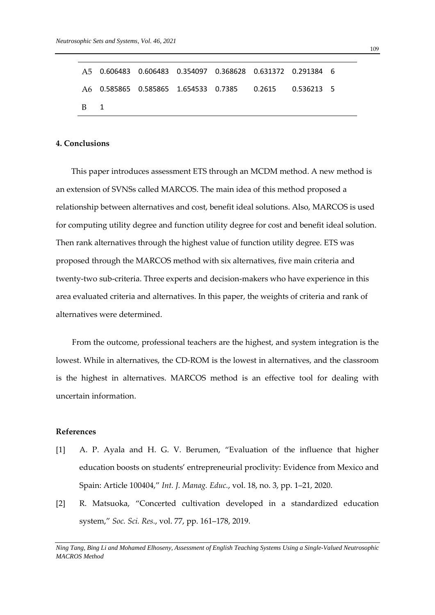|            |  |  | A5  0.606483  0.606483  0.354097  0.368628  0.631372  0.291384  6 |  |
|------------|--|--|-------------------------------------------------------------------|--|
|            |  |  | A6 0.585865 0.585865 1.654533 0.7385 0.2615 0.536213 5            |  |
| <b>B</b> 1 |  |  |                                                                   |  |

### **4. Conclusions**

This paper introduces assessment ETS through an MCDM method. A new method is an extension of SVNSs called MARCOS. The main idea of this method proposed a relationship between alternatives and cost, benefit ideal solutions. Also, MARCOS is used for computing utility degree and function utility degree for cost and benefit ideal solution. Then rank alternatives through the highest value of function utility degree. ETS was proposed through the MARCOS method with six alternatives, five main criteria and twenty-two sub-criteria. Three experts and decision-makers who have experience in this area evaluated criteria and alternatives. In this paper, the weights of criteria and rank of alternatives were determined.

From the outcome, professional teachers are the highest, and system integration is the lowest. While in alternatives, the CD-ROM is the lowest in alternatives, and the classroom is the highest in alternatives. MARCOS method is an effective tool for dealing with uncertain information.

#### **References**

- [1] A. P. Ayala and H. G. V. Berumen, "Evaluation of the influence that higher education boosts on students' entrepreneurial proclivity: Evidence from Mexico and Spain: Article 100404," *Int. J. Manag. Educ.*, vol. 18, no. 3, pp. 1–21, 2020.
- [2] R. Matsuoka, "Concerted cultivation developed in a standardized education system," *Soc. Sci. Res.*, vol. 77, pp. 161–178, 2019.

*Ning Tang, Bing Li and Mohamed Elhoseny, Assessment of English Teaching Systems Using a Single-Valued Neutrosophic MACROS Method*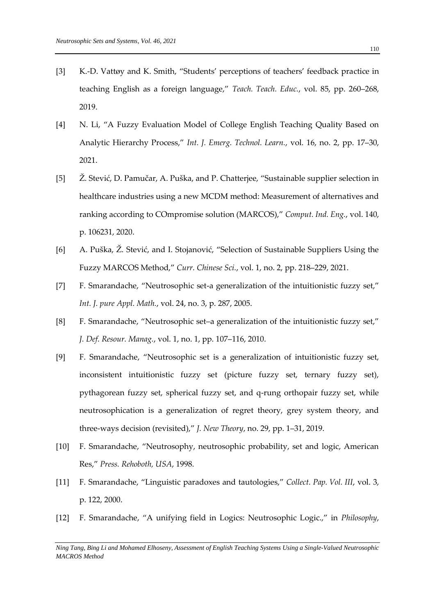- [3] K.-D. Vattøy and K. Smith, "Students' perceptions of teachers' feedback practice in teaching English as a foreign language," *Teach. Teach. Educ.*, vol. 85, pp. 260–268, 2019.
- [4] N. Li, "A Fuzzy Evaluation Model of College English Teaching Quality Based on Analytic Hierarchy Process," *Int. J. Emerg. Technol. Learn.*, vol. 16, no. 2, pp. 17–30, 2021.
- [5] Ž. Stević, D. Pamučar, A. Puška, and P. Chatterjee, "Sustainable supplier selection in healthcare industries using a new MCDM method: Measurement of alternatives and ranking according to COmpromise solution (MARCOS)," *Comput. Ind. Eng.*, vol. 140, p. 106231, 2020.
- [6] A. Puška, Ž. Stević, and I. Stojanović, "Selection of Sustainable Suppliers Using the Fuzzy MARCOS Method," *Curr. Chinese Sci.*, vol. 1, no. 2, pp. 218–229, 2021.
- [7] F. Smarandache, "Neutrosophic set-a generalization of the intuitionistic fuzzy set," *Int. J. pure Appl. Math.*, vol. 24, no. 3, p. 287, 2005.
- [8] F. Smarandache, "Neutrosophic set–a generalization of the intuitionistic fuzzy set," *J. Def. Resour. Manag.*, vol. 1, no. 1, pp. 107–116, 2010.
- [9] F. Smarandache, "Neutrosophic set is a generalization of intuitionistic fuzzy set, inconsistent intuitionistic fuzzy set (picture fuzzy set, ternary fuzzy set), pythagorean fuzzy set, spherical fuzzy set, and q-rung orthopair fuzzy set, while neutrosophication is a generalization of regret theory, grey system theory, and three-ways decision (revisited)," *J. New Theory*, no. 29, pp. 1–31, 2019.
- [10] F. Smarandache, "Neutrosophy, neutrosophic probability, set and logic, American Res," *Press. Rehoboth, USA*, 1998.
- [11] F. Smarandache, "Linguistic paradoxes and tautologies," *Collect. Pap. Vol. III*, vol. 3, p. 122, 2000.
- [12] F. Smarandache, "A unifying field in Logics: Neutrosophic Logic.," in *Philosophy*,

*Ning Tang, Bing Li and Mohamed Elhoseny, Assessment of English Teaching Systems Using a Single-Valued Neutrosophic MACROS Method*